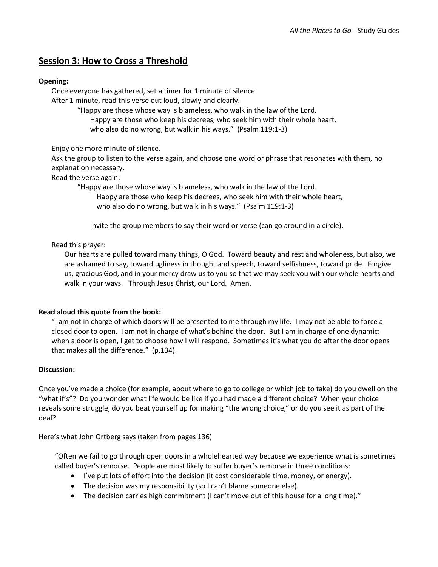## **Session 3: How to Cross a Threshold**

## **Opening:**

Once everyone has gathered, set a timer for 1 minute of silence.

After 1 minute, read this verse out loud, slowly and clearly.

"Happy are those whose way is blameless, who walk in the law of the Lord.

Happy are those who keep his decrees, who seek him with their whole heart, who also do no wrong, but walk in his ways." (Psalm 119:1-3)

Enjoy one more minute of silence.

Ask the group to listen to the verse again, and choose one word or phrase that resonates with them, no explanation necessary.

Read the verse again:

"Happy are those whose way is blameless, who walk in the law of the Lord. Happy are those who keep his decrees, who seek him with their whole heart,

who also do no wrong, but walk in his ways." (Psalm 119:1-3)

Invite the group members to say their word or verse (can go around in a circle).

Read this prayer:

Our hearts are pulled toward many things, O God. Toward beauty and rest and wholeness, but also, we are ashamed to say, toward ugliness in thought and speech, toward selfishness, toward pride. Forgive us, gracious God, and in your mercy draw us to you so that we may seek you with our whole hearts and walk in your ways. Through Jesus Christ, our Lord. Amen.

## **Read aloud this quote from the book:**

"I am not in charge of which doors will be presented to me through my life. I may not be able to force a closed door to open. I am not in charge of what's behind the door. But I am in charge of one dynamic: when a door is open, I get to choose how I will respond. Sometimes it's what you do after the door opens that makes all the difference." (p.134).

## **Discussion:**

Once you've made a choice (for example, about where to go to college or which job to take) do you dwell on the "what if's"? Do you wonder what life would be like if you had made a different choice? When your choice reveals some struggle, do you beat yourself up for making "the wrong choice," or do you see it as part of the deal?

Here's what John Ortberg says (taken from pages 136)

"Often we fail to go through open doors in a wholehearted way because we experience what is sometimes called buyer's remorse. People are most likely to suffer buyer's remorse in three conditions:

- I've put lots of effort into the decision (it cost considerable time, money, or energy).
- The decision was my responsibility (so I can't blame someone else).
- The decision carries high commitment (I can't move out of this house for a long time)."